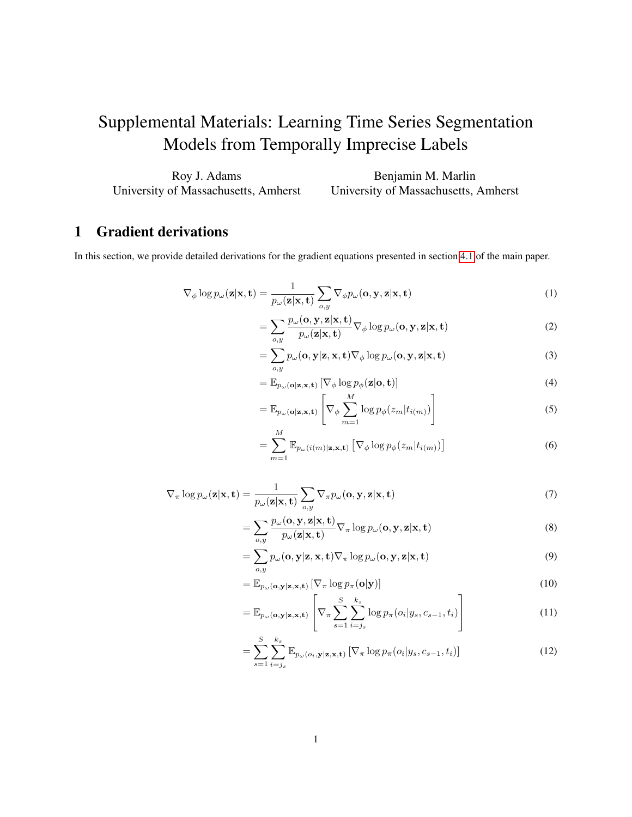# <span id="page-0-0"></span>Supplemental Materials: Learning Time Series Segmentation Models from Temporally Imprecise Labels

| Roy J. Adams                         | Benjamin M. Marlin                   |
|--------------------------------------|--------------------------------------|
| University of Massachusetts, Amherst | University of Massachusetts, Amherst |

# 1 Gradient derivations

In this section, we provide detailed derivations for the gradient equations presented in section 4.1 of the main paper.

$$
\nabla_{\phi} \log p_{\omega}(\mathbf{z}|\mathbf{x}, \mathbf{t}) = \frac{1}{p_{\omega}(\mathbf{z}|\mathbf{x}, \mathbf{t})} \sum_{o, y} \nabla_{\phi} p_{\omega}(\mathbf{o}, \mathbf{y}, \mathbf{z}|\mathbf{x}, \mathbf{t})
$$
(1)

$$
= \sum_{o,y} \frac{p_{\omega}(\mathbf{o}, \mathbf{y}, \mathbf{z} | \mathbf{x}, \mathbf{t})}{p_{\omega}(\mathbf{z} | \mathbf{x}, \mathbf{t})} \nabla_{\phi} \log p_{\omega}(\mathbf{o}, \mathbf{y}, \mathbf{z} | \mathbf{x}, \mathbf{t})
$$
(2)

$$
= \sum_{o,y} p_{\omega}(\mathbf{o}, \mathbf{y} | \mathbf{z}, \mathbf{x}, \mathbf{t}) \nabla_{\phi} \log p_{\omega}(\mathbf{o}, \mathbf{y}, \mathbf{z} | \mathbf{x}, \mathbf{t})
$$
(3)

$$
= \mathbb{E}_{p_{\omega}(\mathbf{o}|\mathbf{z},\mathbf{x},\mathbf{t})} \left[ \nabla_{\phi} \log p_{\phi}(\mathbf{z}|\mathbf{o},\mathbf{t}) \right]
$$
(4)

$$
= \mathbb{E}_{p_{\omega}(\mathbf{o}|\mathbf{z}, \mathbf{x}, \mathbf{t})} \left[ \nabla_{\phi} \sum_{m=1}^{M} \log p_{\phi}(z_m | t_{i(m)}) \right]
$$
(5)

$$
= \sum_{m=1}^{M} \mathbb{E}_{p_{\omega}(i(m)|\mathbf{z}, \mathbf{x}, \mathbf{t})} \left[ \nabla_{\phi} \log p_{\phi}(z_m | t_{i(m)}) \right]
$$
(6)

$$
\nabla_{\pi} \log p_{\omega}(\mathbf{z}|\mathbf{x}, \mathbf{t}) = \frac{1}{p_{\omega}(\mathbf{z}|\mathbf{x}, \mathbf{t})} \sum_{o, y} \nabla_{\pi} p_{\omega}(\mathbf{o}, \mathbf{y}, \mathbf{z}|\mathbf{x}, \mathbf{t})
$$
(7)

$$
= \sum_{o,y} \frac{p_{\omega}(\mathbf{o}, \mathbf{y}, \mathbf{z} | \mathbf{x}, \mathbf{t})}{p_{\omega}(\mathbf{z} | \mathbf{x}, \mathbf{t})} \nabla_{\pi} \log p_{\omega}(\mathbf{o}, \mathbf{y}, \mathbf{z} | \mathbf{x}, \mathbf{t})
$$
(8)

$$
= \sum_{o,y} p_{\omega}(\mathbf{o}, \mathbf{y} | \mathbf{z}, \mathbf{x}, \mathbf{t}) \nabla_{\pi} \log p_{\omega}(\mathbf{o}, \mathbf{y}, \mathbf{z} | \mathbf{x}, \mathbf{t})
$$
(9)

$$
= \mathbb{E}_{p_{\omega}(\mathbf{o}, \mathbf{y} | \mathbf{z}, \mathbf{x}, \mathbf{t})} \left[ \nabla_{\pi} \log p_{\pi}(\mathbf{o} | \mathbf{y}) \right]
$$
(10)

$$
= \mathbb{E}_{p_{\omega}(\mathbf{o}, \mathbf{y}|\mathbf{z}, \mathbf{x}, \mathbf{t})} \left[ \nabla_{\pi} \sum_{s=1}^{S} \sum_{i=j_s}^{k_s} \log p_{\pi}(o_i|y_s, c_{s-1}, t_i) \right]
$$
(11)

$$
= \sum_{s=1}^{S} \sum_{i=j_s}^{k_s} \mathbb{E}_{p_{\omega}(o_i, \mathbf{y}|\mathbf{z}, \mathbf{x}, \mathbf{t})} \left[ \nabla_{\pi} \log p_{\pi}(o_i | y_s, c_{s-1}, t_i) \right]
$$
(12)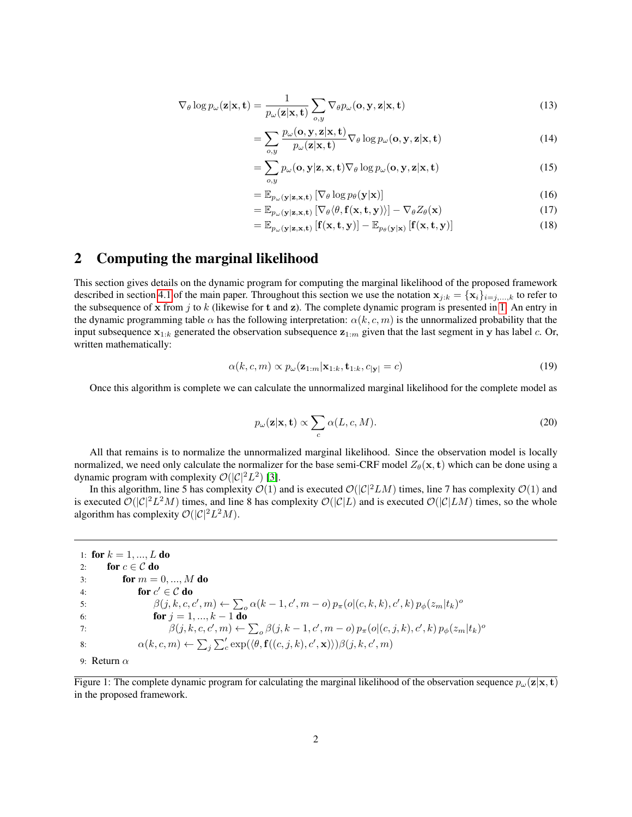$$
\nabla_{\theta} \log p_{\omega}(\mathbf{z}|\mathbf{x}, \mathbf{t}) = \frac{1}{p_{\omega}(\mathbf{z}|\mathbf{x}, \mathbf{t})} \sum_{o, y} \nabla_{\theta} p_{\omega}(\mathbf{o}, \mathbf{y}, \mathbf{z}|\mathbf{x}, \mathbf{t})
$$
(13)

$$
= \sum_{o,y} \frac{p_{\omega}(\mathbf{o}, \mathbf{y}, \mathbf{z} | \mathbf{x}, \mathbf{t})}{p_{\omega}(\mathbf{z} | \mathbf{x}, \mathbf{t})} \nabla_{\theta} \log p_{\omega}(\mathbf{o}, \mathbf{y}, \mathbf{z} | \mathbf{x}, \mathbf{t})
$$
(14)

$$
= \sum_{o,y} p_{\omega}(\mathbf{o}, \mathbf{y} | \mathbf{z}, \mathbf{x}, \mathbf{t}) \nabla_{\theta} \log p_{\omega}(\mathbf{o}, \mathbf{y}, \mathbf{z} | \mathbf{x}, \mathbf{t})
$$
(15)

$$
= \mathbb{E}_{p_{\omega}(\mathbf{y}|\mathbf{z},\mathbf{x},\mathbf{t})} \left[ \nabla_{\theta} \log p_{\theta}(\mathbf{y}|\mathbf{x}) \right]
$$
(16)

$$
= \mathbb{E}_{p_{\omega}(\mathbf{y}|\mathbf{z},\mathbf{x},\mathbf{t})} \left[ \nabla_{\theta} \langle \theta, \mathbf{f}(\mathbf{x}, \mathbf{t}, \mathbf{y}) \rangle \right] - \nabla_{\theta} Z_{\theta}(\mathbf{x}) \tag{17}
$$

$$
= \mathbb{E}_{p_{\omega}(\mathbf{y}|\mathbf{z},\mathbf{x},\mathbf{t})}\left[\mathbf{f}(\mathbf{x},\mathbf{t},\mathbf{y})\right] - \mathbb{E}_{p_{\theta}(\mathbf{y}|\mathbf{x})}\left[\mathbf{f}(\mathbf{x},\mathbf{t},\mathbf{y})\right]
$$
(18)

### 2 Computing the marginal likelihood

=

This section gives details on the dynamic program for computing the marginal likelihood of the proposed framework described in section [4.1](#page-0-0) of the main paper. Throughout this section we use the notation  $x_{j:k} = \{x_i\}_{i=j,...,k}$  to refer to the subsequence of x from j to k (likewise for t and z). The complete dynamic program is presented in [1.](#page-1-0) An entry in the dynamic programming table  $\alpha$  has the following interpretation:  $\alpha(k, c, m)$  is the unnormalized probability that the input subsequence  $x_{1:k}$  generated the observation subsequence  $z_{1:m}$  given that the last segment in y has label c. Or, written mathematically:

$$
\alpha(k, c, m) \propto p_{\omega}(\mathbf{z}_{1:m}|\mathbf{x}_{1:k}, \mathbf{t}_{1:k}, c_{|\mathbf{y}|} = c)
$$
\n(19)

Once this algorithm is complete we can calculate the unnormalized marginal likelihood for the complete model as

$$
p_{\omega}(\mathbf{z}|\mathbf{x}, \mathbf{t}) \propto \sum_{c} \alpha(L, c, M). \tag{20}
$$

All that remains is to normalize the unnormalized marginal likelihood. Since the observation model is locally normalized, we need only calculate the normalizer for the base semi-CRF model  $Z_{\theta}(\mathbf{x}, \mathbf{t})$  which can be done using a dynamic program with complexity  $\mathcal{O}(|\mathcal{C}|^2L^2)$  [\[3\]](#page-3-0).

In this algorithm, line 5 has complexity  $\mathcal{O}(1)$  and is executed  $\mathcal{O}(|\mathcal{C}|^2LM)$  times, line 7 has complexity  $\mathcal{O}(1)$  and is executed  $\mathcal{O}(|C|^2L^2M)$  times, and line 8 has complexity  $\mathcal{O}(|C|L)$  and is executed  $\mathcal{O}(|C|LM)$  times, so the whole algorithm has complexity  $\mathcal{O}(|\mathcal{C}|^2L^2M)$ .

<span id="page-1-0"></span>1: for  $k = 1, ..., L$  do 2: for  $c \in \mathcal{C}$  do 3: **for**  $m = 0, ..., M$  **do** 4: for  $c' \in \mathcal{C}$  do 5:  $\beta(j, k, c, c', m) \leftarrow \sum_{o} \alpha(k - 1, c', m - o) p_{\pi}(o | (c, k, k), c', k) p_{\phi}(z_m | t_k)^o$ 6: **for**  $j = 1, ..., k - 1$  **do** 7:  $\beta(j, k, c, c', m) \leftarrow \sum_o \beta(j, k - 1, c', m - o) p_{\pi}(o|(c, j, k), c', k) p_{\phi}(z_m | t_k)^o$ 8:  $\alpha(k, c, m) \leftarrow \sum_j \sum_c' \exp(\langle \theta, \mathbf{f}((c, j, k), c', \mathbf{x}) \rangle) \beta(j, k, c', m)$ 9: Return  $\alpha$ 

Figure 1: The complete dynamic program for calculating the marginal likelihood of the observation sequence  $p_{\omega}(\mathbf{z}|\mathbf{x}, \mathbf{t})$ in the proposed framework.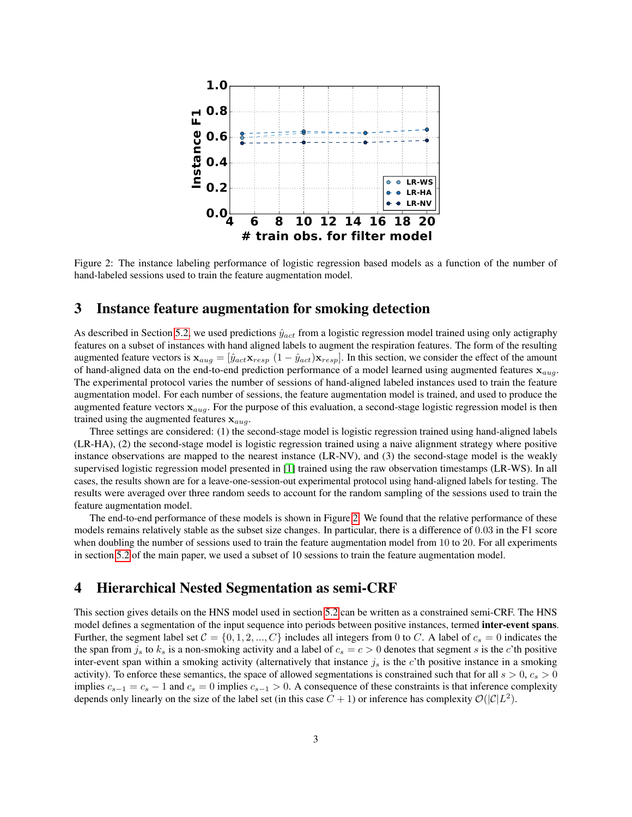<span id="page-2-0"></span>

Figure 2: The instance labeling performance of logistic regression based models as a function of the number of hand-labeled sessions used to train the feature augmentation model.

#### 3 Instance feature augmentation for smoking detection

As described in Section [5.2,](#page-0-0) we used predictions  $\hat{y}_{act}$  from a logistic regression model trained using only actigraphy features on a subset of instances with hand aligned labels to augment the respiration features. The form of the resulting augmented feature vectors is  $\mathbf{x}_{aug} = [\hat{y}_{act} \mathbf{x}_{resp} \ (1 - \hat{y}_{act}) \mathbf{x}_{resp}]$ . In this section, we consider the effect of the amount of hand-aligned data on the end-to-end prediction performance of a model learned using augmented features  $x_{aug}$ . The experimental protocol varies the number of sessions of hand-aligned labeled instances used to train the feature augmentation model. For each number of sessions, the feature augmentation model is trained, and used to produce the augmented feature vectors  $x_{aug}$ . For the purpose of this evaluation, a second-stage logistic regression model is then trained using the augmented features  $x_{aug}$ .

Three settings are considered: (1) the second-stage model is logistic regression trained using hand-aligned labels (LR-HA), (2) the second-stage model is logistic regression trained using a naive alignment strategy where positive instance observations are mapped to the nearest instance (LR-NV), and (3) the second-stage model is the weakly supervised logistic regression model presented in [\[1\]](#page-3-1) trained using the raw observation timestamps (LR-WS). In all cases, the results shown are for a leave-one-session-out experimental protocol using hand-aligned labels for testing. The results were averaged over three random seeds to account for the random sampling of the sessions used to train the feature augmentation model.

The end-to-end performance of these models is shown in Figure [2.](#page-2-0) We found that the relative performance of these models remains relatively stable as the subset size changes. In particular, there is a difference of 0.03 in the F1 score when doubling the number of sessions used to train the feature augmentation model from 10 to 20. For all experiments in section [5.2](#page-0-0) of the main paper, we used a subset of 10 sessions to train the feature augmentation model.

### 4 Hierarchical Nested Segmentation as semi-CRF

This section gives details on the HNS model used in section [5.2](#page-0-0) can be written as a constrained semi-CRF. The HNS model defines a segmentation of the input sequence into periods between positive instances, termed **inter-event spans**. Further, the segment label set  $C = \{0, 1, 2, ..., C\}$  includes all integers from 0 to C. A label of  $c_s = 0$  indicates the the span from  $j_s$  to  $k_s$  is a non-smoking activity and a label of  $c_s = c > 0$  denotes that segment s is the c'th positive inter-event span within a smoking activity (alternatively that instance  $j_s$  is the c'th positive instance in a smoking activity). To enforce these semantics, the space of allowed segmentations is constrained such that for all  $s > 0$ ,  $c_s > 0$ implies  $c_{s-1} = c_s - 1$  and  $c_s = 0$  implies  $c_{s-1} > 0$ . A consequence of these constraints is that inference complexity depends only linearly on the size of the label set (in this case  $C + 1$ ) or inference has complexity  $\mathcal{O}(|\mathcal{C}|L^2)$ .